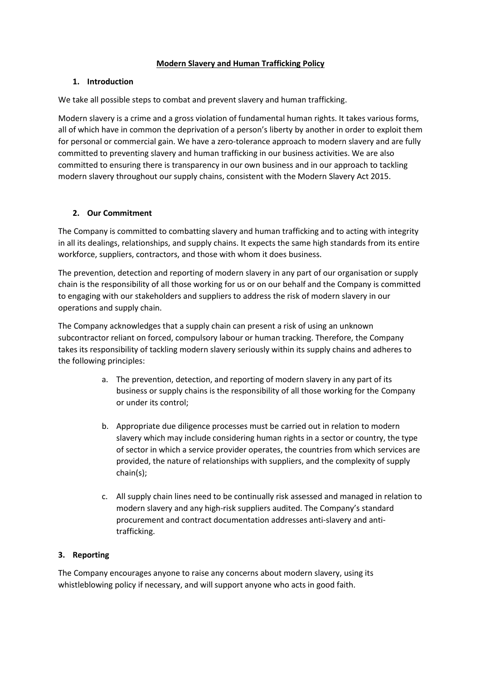#### **Modern Slavery and Human Trafficking Policy**

#### **1. Introduction**

We take all possible steps to combat and prevent slavery and human trafficking.

Modern slavery is a crime and a gross violation of fundamental human rights. It takes various forms, all of which have in common the deprivation of a person's liberty by another in order to exploit them for personal or commercial gain. We have a zero-tolerance approach to modern slavery and are fully committed to preventing slavery and human trafficking in our business activities. We are also committed to ensuring there is transparency in our own business and in our approach to tackling modern slavery throughout our supply chains, consistent with the Modern Slavery Act 2015.

## **2. Our Commitment**

The Company is committed to combatting slavery and human trafficking and to acting with integrity in all its dealings, relationships, and supply chains. It expects the same high standards from its entire workforce, suppliers, contractors, and those with whom it does business.

The prevention, detection and reporting of modern slavery in any part of our organisation or supply chain is the responsibility of all those working for us or on our behalf and the Company is committed to engaging with our stakeholders and suppliers to address the risk of modern slavery in our operations and supply chain.

The Company acknowledges that a supply chain can present a risk of using an unknown subcontractor reliant on forced, compulsory labour or human tracking. Therefore, the Company takes its responsibility of tackling modern slavery seriously within its supply chains and adheres to the following principles:

- a. The prevention, detection, and reporting of modern slavery in any part of its business or supply chains is the responsibility of all those working for the Company or under its control;
- b. Appropriate due diligence processes must be carried out in relation to modern slavery which may include considering human rights in a sector or country, the type of sector in which a service provider operates, the countries from which services are provided, the nature of relationships with suppliers, and the complexity of supply chain(s);
- c. All supply chain lines need to be continually risk assessed and managed in relation to modern slavery and any high-risk suppliers audited. The Company's standard procurement and contract documentation addresses anti-slavery and antitrafficking.

## **3. Reporting**

The Company encourages anyone to raise any concerns about modern slavery, using its whistleblowing policy if necessary, and will support anyone who acts in good faith.